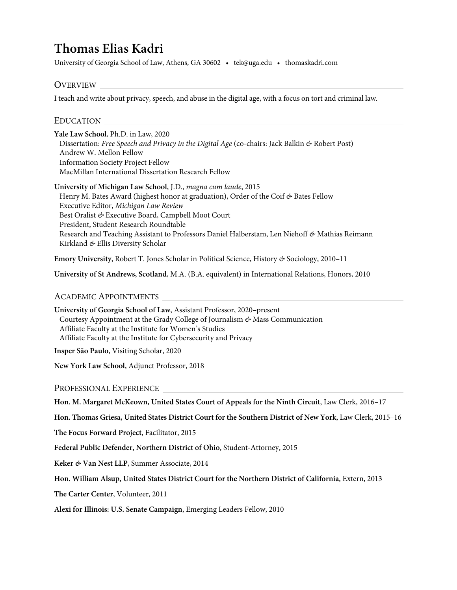# **Thomas Elias Kadri**

University of Georgia School of Law, Athens, GA 30602 • tek@uga.edu • thomaskadri.com

## OVERVIEW

I teach and write about privacy, speech, and abuse in the digital age, with a focus on tort and criminal law.

#### EDUCATION

**Yale Law School**, Ph.D. in Law, 2020 Dissertation: *Free Speech and Privacy in the Digital Age* (co-chairs: Jack Balkin *&* Robert Post) Andrew W. Mellon Fellow Information Society Project Fellow MacMillan International Dissertation Research Fellow

**University of Michigan Law School**, J.D., *magna cum laude*, 2015 Henry M. Bates Award (highest honor at graduation), Order of the Coif *&* Bates Fellow Executive Editor, *Michigan Law Review* Best Oralist *&* Executive Board, Campbell Moot Court President, Student Research Roundtable Research and Teaching Assistant to Professors Daniel Halberstam, Len Niehoff *&* Mathias Reimann Kirkland *&* Ellis Diversity Scholar

**Emory University**, Robert T. Jones Scholar in Political Science, History *&* Sociology, 2010–11

**University of St Andrews, Scotland**, M.A. (B.A. equivalent) in International Relations, Honors, 2010

#### ACADEMIC APPOINTMENTS

**University of Georgia School of Law**, Assistant Professor, 2020–present Courtesy Appointment at the Grady College of Journalism *&* Mass Communication Affiliate Faculty at the Institute for Women's Studies Affiliate Faculty at the Institute for Cybersecurity and Privacy **Insper São Paulo**, Visiting Scholar, 2020

**New York Law School**, Adjunct Professor, 2018

PROFESSIONAL EXPERIENCE

**Hon. M. Margaret McKeown, United States Court of Appeals for the Ninth Circuit**, Law Clerk, 2016–17

**Hon. Thomas Griesa, United States District Court for the Southern District of New York**, Law Clerk, 2015–16

**The Focus Forward Project**, Facilitator, 2015

**Federal Public Defender, Northern District of Ohio**, Student-Attorney, 2015

**Keker** *&* **Van Nest LLP**, Summer Associate, 2014

**Hon. William Alsup, United States District Court for the Northern District of California**, Extern, 2013

**The Carter Center**, Volunteer, 2011

**Alexi for Illinois: U.S. Senate Campaign**, Emerging Leaders Fellow, 2010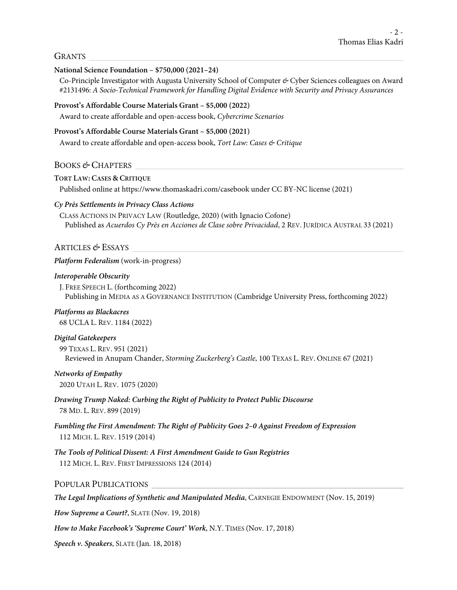#### GRANTS

#### **National Science Foundation – \$750,000 (2021–24)**

Co-Principle Investigator with Augusta University School of Computer *&* Cyber Sciences colleagues on Award #2131496: *A Socio-Technical Framework for Handling Digital Evidence with Security and Privacy Assurances*

#### **Provost's Affordable Course Materials Grant – \$5,000 (2022)**

Award to create affordable and open-access book, *Cybercrime Scenarios*

#### **Provost's Affordable Course Materials Grant – \$5,000 (2021)**

Award to create affordable and open-access book, *Tort Law: Cases & Critique*

#### BOOKS *&* CHAPTERS

#### **TORT LAW: CASES & CRITIQUE**

Published online at https://www.thomaskadri.com/casebook under CC BY-NC license (2021)

#### *Cy Près Settlements in Privacy Class Actions*

CLASS ACTIONS IN PRIVACY LAW (Routledge, 2020) (with Ignacio Cofone) Published as *Acuerdos Cy Près en Acciones de Clase sobre Privacidad*, 2 REV. JURÍDICA AUSTRAL 33 (2021)

#### ARTICLES *&* ESSAYS

#### *Platform Federalism* (work-in-progress)

#### *Interoperable Obscurity*

J. FREE SPEECH L. (forthcoming 2022) Publishing in MEDIA AS A GOVERNANCE INSTITUTION (Cambridge University Press, forthcoming 2022)

## *Platforms as Blackacres*

68 UCLA L. REV. 1184 (2022)

#### *Digital Gatekeepers*

99 TEXAS L. REV. 951 (2021) Reviewed in Anupam Chander, *Storming Zuckerberg's Castle*, 100 TEXAS L. REV. ONLINE 67 (2021)

#### *Networks of Empathy*

2020 UTAH L. REV. 1075 (2020)

#### *Drawing Trump Naked: Curbing the Right of Publicity to Protect Public Discourse* 78 MD. L. REV. 899 (2019)

## *Fumbling the First Amendment: The Right of Publicity Goes 2–0 Against Freedom of Expression* 112 MICH. L. REV. 1519 (2014)

*The Tools of Political Dissent: A First Amendment Guide to Gun Registries* 112 MICH. L. REV. FIRST IMPRESSIONS 124 (2014)

#### POPULAR PUBLICATIONS

*The Legal Implications of Synthetic and Manipulated Media*, CARNEGIE ENDOWMENT (Nov. 15, 2019)

*How Supreme a Court?*, SLATE (Nov. 19, 2018)

*How to Make Facebook's 'Supreme Court' Work*, N.Y. TIMES (Nov. 17, 2018)

*Speech v. Speakers*, SLATE (Jan. 18, 2018)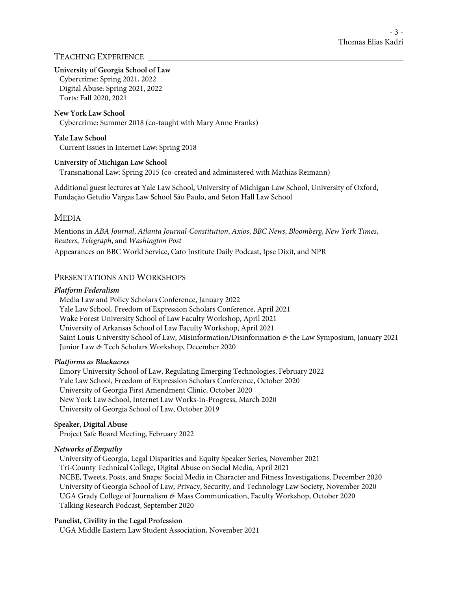## TEACHING EXPERIENCE

#### **University of Georgia School of Law**

Cybercrime: Spring 2021, 2022 Digital Abuse: Spring 2021, 2022 Torts: Fall 2020, 2021

#### **New York Law School**

Cybercrime: Summer 2018 (co-taught with Mary Anne Franks)

#### **Yale Law School**

Current Issues in Internet Law: Spring 2018

#### **University of Michigan Law School**

Transnational Law: Spring 2015 (co-created and administered with Mathias Reimann)

Additional guest lectures at Yale Law School, University of Michigan Law School, University of Oxford, Fundação Getulio Vargas Law School São Paulo, and Seton Hall Law School

#### MEDIA

Mentions in *ABA Journal*, *Atlanta Journal-Constitution*, *Axios*, *BBC News*, *Bloomberg*, *New York Times*, *Reuters*, *Telegraph*, and *Washington Post*

Appearances on BBC World Service, Cato Institute Daily Podcast, Ipse Dixit, and NPR

## PRESENTATIONS AND WORKSHOPS

#### *Platform Federalism*

Media Law and Policy Scholars Conference, January 2022 Yale Law School, Freedom of Expression Scholars Conference, April 2021 Wake Forest University School of Law Faculty Workshop, April 2021 University of Arkansas School of Law Faculty Workshop, April 2021 Saint Louis University School of Law, Misinformation/Disinformation *&* the Law Symposium, January 2021 Junior Law *&* Tech Scholars Workshop, December 2020

#### *Platforms as Blackacres*

Emory University School of Law, Regulating Emerging Technologies, February 2022 Yale Law School, Freedom of Expression Scholars Conference, October 2020 University of Georgia First Amendment Clinic, October 2020 New York Law School, Internet Law Works-in-Progress, March 2020 University of Georgia School of Law, October 2019

#### **Speaker, Digital Abuse**

Project Safe Board Meeting, February 2022

#### *Networks of Empathy*

University of Georgia, Legal Disparities and Equity Speaker Series, November 2021 Tri-County Technical College, Digital Abuse on Social Media, April 2021 NCBE, Tweets, Posts, and Snaps: Social Media in Character and Fitness Investigations, December 2020 University of Georgia School of Law, Privacy, Security, and Technology Law Society, November 2020 UGA Grady College of Journalism *&* Mass Communication, Faculty Workshop, October 2020 Talking Research Podcast, September 2020

#### **Panelist, Civility in the Legal Profession**

UGA Middle Eastern Law Student Association, November 2021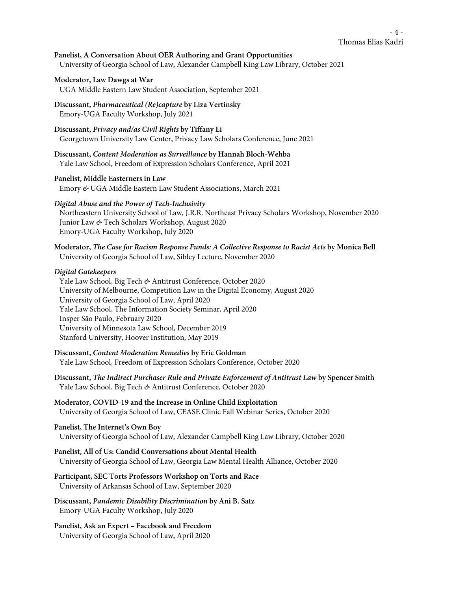#### Thomas Elias Kadri - 4 -

**Panelist, A Conversation About OER Authoring and Grant Opportunities** University of Georgia School of Law, Alexander Campbell King Law Library, October 2021

#### **Moderator, Law Dawgs at War**

- UGA Middle Eastern Law Student Association, September 2021
- **Discussant,** *Pharmaceutical (Re)capture* **by Liza Vertinsky** Emory-UGA Faculty Workshop, July 2021
- **Discussant,** *Privacy and/as Civil Rights* **by Tiffany Li** Georgetown University Law Center, Privacy Law Scholars Conference, June 2021
- **Discussant,** *Content Moderation as Surveillance* **by Hannah Bloch-Wehba** Yale Law School, Freedom of Expression Scholars Conference, April 2021
- **Panelist, Middle Easterners in Law** Emory *&* UGA Middle Eastern Law Student Associations, March 2021

#### *Digital Abuse and the Power of Tech-Inclusivity*

Northeastern University School of Law, J.R.R. Northeast Privacy Scholars Workshop, November 2020 Junior Law *&* Tech Scholars Workshop, August 2020 Emory-UGA Faculty Workshop, July 2020

**Moderator,** *The Case for Racism Response Funds: A Collective Response to Racist Acts* **by Monica Bell** University of Georgia School of Law, Sibley Lecture, November 2020

#### *Digital Gatekeepers*

Yale Law School, Big Tech *&* Antitrust Conference, October 2020 University of Melbourne, Competition Law in the Digital Economy, August 2020 University of Georgia School of Law, April 2020 Yale Law School, The Information Society Seminar, April 2020 Insper São Paulo, February 2020 University of Minnesota Law School, December 2019 Stanford University, Hoover Institution, May 2019

- **Discussant,** *Content Moderation Remedies* **by Eric Goldman** Yale Law School, Freedom of Expression Scholars Conference, October 2020
- **Discussant,** *The Indirect Purchaser Rule and Private Enforcement of Antitrust Law* **by Spencer Smith** Yale Law School, Big Tech *&* Antitrust Conference, October 2020
- **Moderator, COVID-19 and the Increase in Online Child Exploitation** University of Georgia School of Law, CEASE Clinic Fall Webinar Series, October 2020

### **Panelist, The Internet's Own Boy** University of Georgia School of Law, Alexander Campbell King Law Library, October 2020

**Panelist, All of Us: Candid Conversations about Mental Health** University of Georgia School of Law, Georgia Law Mental Health Alliance, October 2020

#### **Participant, SEC Torts Professors Workshop on Torts and Race** University of Arkansas School of Law, September 2020

- **Discussant,** *Pandemic Disability Discrimination* **by Ani B. Satz** Emory-UGA Faculty Workshop, July 2020
- **Panelist, Ask an Expert – Facebook and Freedom** University of Georgia School of Law, April 2020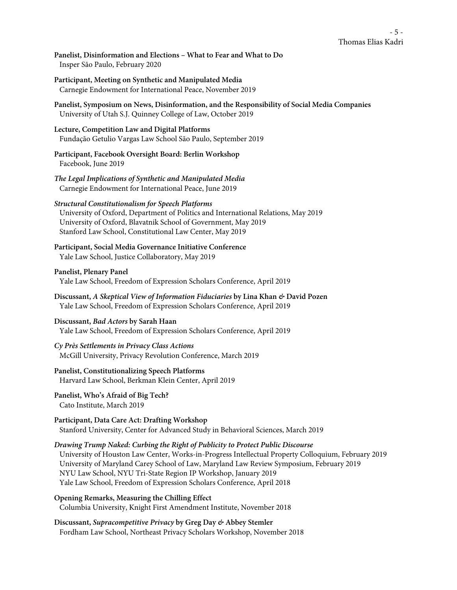**Panelist, Disinformation and Elections – What to Fear and What to Do** Insper São Paulo, February 2020

**Participant, Meeting on Synthetic and Manipulated Media** Carnegie Endowment for International Peace, November 2019

**Panelist, Symposium on News, Disinformation, and the Responsibility of Social Media Companies** University of Utah S.J. Quinney College of Law, October 2019

**Lecture, Competition Law and Digital Platforms** Fundação Getulio Vargas Law School São Paulo, September 2019

**Participant, Facebook Oversight Board: Berlin Workshop** Facebook, June 2019

*The Legal Implications of Synthetic and Manipulated Media* Carnegie Endowment for International Peace, June 2019

#### *Structural Constitutionalism for Speech Platforms*

University of Oxford, Department of Politics and International Relations, May 2019 University of Oxford, Blavatnik School of Government, May 2019 Stanford Law School, Constitutional Law Center, May 2019

**Participant, Social Media Governance Initiative Conference** Yale Law School, Justice Collaboratory, May 2019

**Panelist, Plenary Panel** Yale Law School, Freedom of Expression Scholars Conference, April 2019

**Discussant,** *A Skeptical View of Information Fiduciaries* **by Lina Khan** *&* **David Pozen** Yale Law School, Freedom of Expression Scholars Conference, April 2019

**Discussant,** *Bad Actors* **by Sarah Haan** Yale Law School, Freedom of Expression Scholars Conference, April 2019

*Cy Près Settlements in Privacy Class Actions* McGill University, Privacy Revolution Conference, March 2019

**Panelist, Constitutionalizing Speech Platforms**  Harvard Law School, Berkman Klein Center, April 2019

**Panelist, Who's Afraid of Big Tech?** Cato Institute, March 2019

**Participant, Data Care Act: Drafting Workshop** Stanford University, Center for Advanced Study in Behavioral Sciences, March 2019

*Drawing Trump Naked: Curbing the Right of Publicity to Protect Public Discourse* University of Houston Law Center, Works-in-Progress Intellectual Property Colloquium, February 2019 University of Maryland Carey School of Law, Maryland Law Review Symposium, February 2019 NYU Law School, NYU Tri-State Region IP Workshop, January 2019 Yale Law School, Freedom of Expression Scholars Conference, April 2018

**Opening Remarks, Measuring the Chilling Effect** Columbia University, Knight First Amendment Institute, November 2018

**Discussant,** *Supracompetitive Privacy* **by Greg Day** *&* **Abbey Stemler** Fordham Law School, Northeast Privacy Scholars Workshop, November 2018